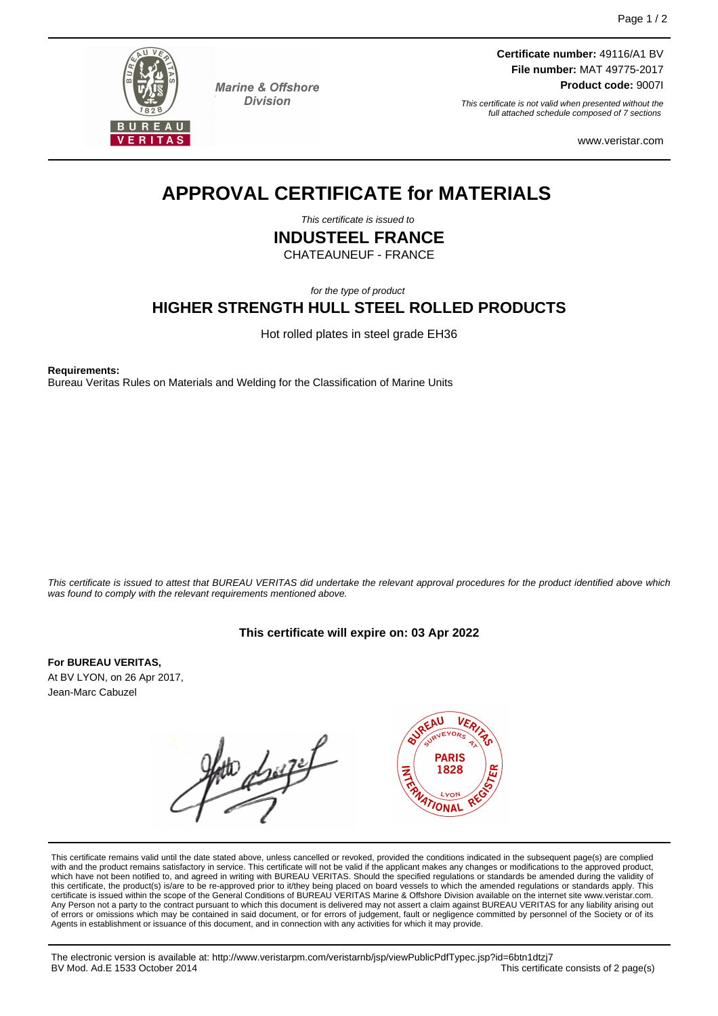

**Marine & Offshore Division** 

**Certificate number:** 49116/A1 BV **File number:** MAT 49775-2017 **Product code:** 9007I

This certificate is not valid when presented without the full attached schedule composed of 7 sections

www.veristar.com

# **APPROVAL CERTIFICATE for MATERIALS**

This certificate is issued to

**INDUSTEEL FRANCE**

CHATEAUNEUF - FRANCE

for the type of product

# **HIGHER STRENGTH HULL STEEL ROLLED PRODUCTS**

Hot rolled plates in steel grade EH36

**Requirements:**

Bureau Veritas Rules on Materials and Welding for the Classification of Marine Units

This certificate is issued to attest that BUREAU VERITAS did undertake the relevant approval procedures for the product identified above which was found to comply with the relevant requirements mentioned above.

# **This certificate will expire on: 03 Apr 2022**

**For BUREAU VERITAS,** At BV LYON, on 26 Apr 2017, Jean-Marc Cabuzel

duft



This certificate remains valid until the date stated above, unless cancelled or revoked, provided the conditions indicated in the subsequent page(s) are complied with and the product remains satisfactory in service. This certificate will not be valid if the applicant makes any changes or modifications to the approved product, which have not been notified to, and agreed in writing with BUREAU VERITAS. Should the specified regulations or standards be amended during the validity of this certificate, the product(s) is/are to be re-approved prior to it/they being placed on board vessels to which the amended regulations or standards apply. This<br>certificate is issued within the scope of the General Condi Any Person not a party to the contract pursuant to which this document is delivered may not assert a claim against BUREAU VERITAS for any liability arising out of errors or omissions which may be contained in said document, or for errors of judgement, fault or negligence committed by personnel of the Society or of its Agents in establishment or issuance of this document, and in connection with any activities for which it may provide.